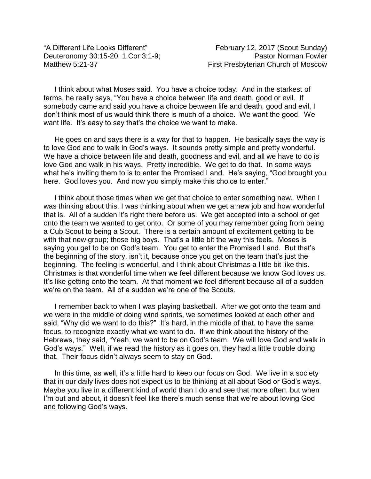"A Different Life Looks Different" February 12, 2017 (Scout Sunday)

I think about what Moses said. You have a choice today. And in the starkest of terms, he really says, "You have a choice between life and death, good or evil. If somebody came and said you have a choice between life and death, good and evil, I don't think most of us would think there is much of a choice. We want the good. We want life. It's easy to say that's the choice we want to make.

He goes on and says there is a way for that to happen. He basically says the way is to love God and to walk in God's ways. It sounds pretty simple and pretty wonderful. We have a choice between life and death, goodness and evil, and all we have to do is love God and walk in his ways. Pretty incredible. We get to do that. In some ways what he's inviting them to is to enter the Promised Land. He's saying, "God brought you here. God loves you. And now you simply make this choice to enter."

I think about those times when we get that choice to enter something new. When I was thinking about this, I was thinking about when we get a new job and how wonderful that is. All of a sudden it's right there before us. We get accepted into a school or get onto the team we wanted to get onto. Or some of you may remember going from being a Cub Scout to being a Scout. There is a certain amount of excitement getting to be with that new group; those big boys. That's a little bit the way this feels. Moses is saying you get to be on God's team. You get to enter the Promised Land. But that's the beginning of the story, isn't it, because once you get on the team that's just the beginning. The feeling is wonderful, and I think about Christmas a little bit like this. Christmas is that wonderful time when we feel different because we know God loves us. It's like getting onto the team. At that moment we feel different because all of a sudden we're on the team. All of a sudden we're one of the Scouts.

I remember back to when I was playing basketball. After we got onto the team and we were in the middle of doing wind sprints, we sometimes looked at each other and said, "Why did we want to do this?" It's hard, in the middle of that, to have the same focus, to recognize exactly what we want to do. If we think about the history of the Hebrews, they said, "Yeah, we want to be on God's team. We will love God and walk in God's ways." Well, if we read the history as it goes on, they had a little trouble doing that. Their focus didn't always seem to stay on God.

In this time, as well, it's a little hard to keep our focus on God. We live in a society that in our daily lives does not expect us to be thinking at all about God or God's ways. Maybe you live in a different kind of world than I do and see that more often, but when I'm out and about, it doesn't feel like there's much sense that we're about loving God and following God's ways.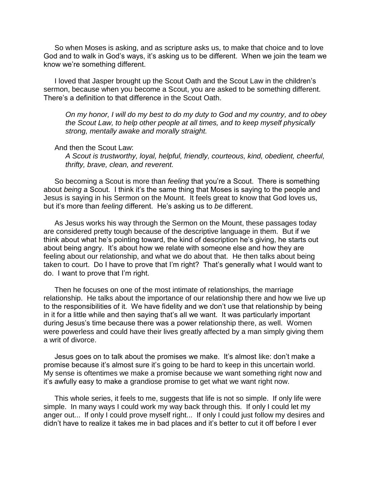So when Moses is asking, and as scripture asks us, to make that choice and to love God and to walk in God's ways, it's asking us to be different. When we join the team we know we're something different.

I loved that Jasper brought up the Scout Oath and the Scout Law in the children's sermon, because when you become a Scout, you are asked to be something different. There's a definition to that difference in the Scout Oath.

*On my honor, I will do my best to do my duty to God and my country, and to obey the Scout Law, to help other people at all times, and to keep myself physically strong, mentally awake and morally straight.*

## And then the Scout Law:

*A Scout is trustworthy, loyal, helpful, friendly, courteous, kind, obedient, cheerful, thrifty, brave, clean, and reverent.*

So becoming a Scout is more than *feeling* that you're a Scout. There is something about *being* a Scout. I think it's the same thing that Moses is saying to the people and Jesus is saying in his Sermon on the Mount. It feels great to know that God loves us, but it's more than *feeling* different. He's asking us to *be* different.

As Jesus works his way through the Sermon on the Mount, these passages today are considered pretty tough because of the descriptive language in them. But if we think about what he's pointing toward, the kind of description he's giving, he starts out about being angry. It's about how we relate with someone else and how they are feeling about our relationship, and what we do about that. He then talks about being taken to court. Do I have to prove that I'm right? That's generally what I would want to do. I want to prove that I'm right.

Then he focuses on one of the most intimate of relationships, the marriage relationship. He talks about the importance of our relationship there and how we live up to the responsibilities of it. We have fidelity and we don't use that relationship by being in it for a little while and then saying that's all we want. It was particularly important during Jesus's time because there was a power relationship there, as well. Women were powerless and could have their lives greatly affected by a man simply giving them a writ of divorce.

Jesus goes on to talk about the promises we make. It's almost like: don't make a promise because it's almost sure it's going to be hard to keep in this uncertain world. My sense is oftentimes we make a promise because we want something right now and it's awfully easy to make a grandiose promise to get what we want right now.

This whole series, it feels to me, suggests that life is not so simple. If only life were simple. In many ways I could work my way back through this. If only I could let my anger out... If only I could prove myself right... If only I could just follow my desires and didn't have to realize it takes me in bad places and it's better to cut it off before I ever